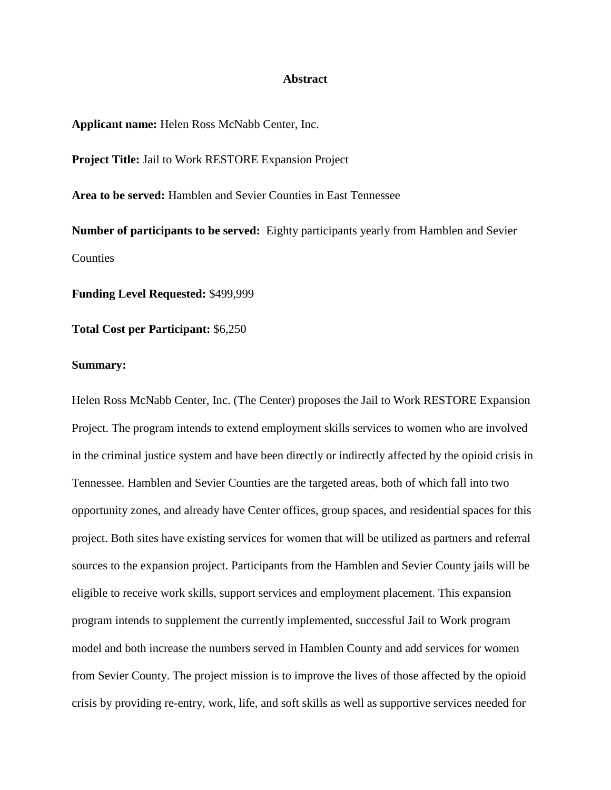## **Abstract**

**Applicant name:** Helen Ross McNabb Center, Inc.

**Project Title:** Jail to Work RESTORE Expansion Project

**Area to be served:** Hamblen and Sevier Counties in East Tennessee

**Number of participants to be served:** Eighty participants yearly from Hamblen and Sevier Counties

**Funding Level Requested:** \$499,999

**Total Cost per Participant:** \$6,250

## **Summary:**

Helen Ross McNabb Center, Inc. (The Center) proposes the Jail to Work RESTORE Expansion Project. The program intends to extend employment skills services to women who are involved in the criminal justice system and have been directly or indirectly affected by the opioid crisis in Tennessee. Hamblen and Sevier Counties are the targeted areas, both of which fall into two opportunity zones, and already have Center offices, group spaces, and residential spaces for this project. Both sites have existing services for women that will be utilized as partners and referral sources to the expansion project. Participants from the Hamblen and Sevier County jails will be eligible to receive work skills, support services and employment placement. This expansion program intends to supplement the currently implemented, successful Jail to Work program model and both increase the numbers served in Hamblen County and add services for women from Sevier County. The project mission is to improve the lives of those affected by the opioid crisis by providing re-entry, work, life, and soft skills as well as supportive services needed for